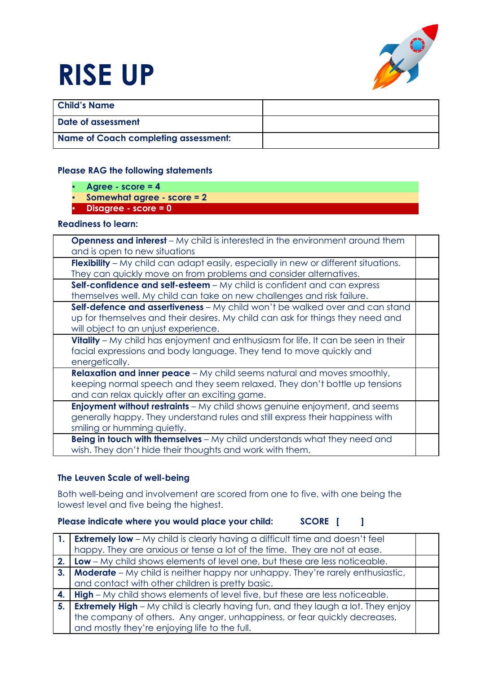

# **RISE UP**

| <b>Child's Name</b>                         |  |
|---------------------------------------------|--|
| Date of assessment                          |  |
| <b>Name of Coach completing assessment:</b> |  |

#### **Please RAG the following statements**

- **▪ Agree - score = 4**
- **▪ Somewhat agree - score = 2**
- **▪ Disagree - score = 0**

# **Readiness to learn:**

| <b>Openness and interest</b> – My child is interested in the environment around them<br>and is open to new situations                                                                                         |  |
|---------------------------------------------------------------------------------------------------------------------------------------------------------------------------------------------------------------|--|
| <b>Flexibility</b> – My child can adapt easily, especially in new or different situations.<br>They can quickly move on from problems and consider alternatives.                                               |  |
| Self-confidence and self-esteem - My child is confident and can express<br>themselves well. My child can take on new challenges and risk failure.                                                             |  |
| Self-defence and assertiveness - My child won't be walked over and can stand<br>up for themselves and their desires. My child can ask for things they need and<br>will object to an unjust experience.        |  |
| Vitality – My child has enjoyment and enthusiasm for life. It can be seen in their<br>facial expressions and body language. They tend to move quickly and<br>energetically.                                   |  |
| <b>Relaxation and inner peace</b> – My child seems natural and moves smoothly,<br>keeping normal speech and they seem relaxed. They don't bottle up tensions<br>and can relax quickly after an exciting game. |  |
| <b>Enjoyment without restraints</b> – My child shows genuine enjoyment, and seems<br>generally happy. They understand rules and still express their happiness with<br>smiling or humming quietly.             |  |
| <b>Being in touch with themselves</b> – My child understands what they need and<br>wish. They don't hide their thoughts and work with them.                                                                   |  |

## **The Leuven Scale of well-being**

Both well-being and involvement are scored from one to five, with one being the lowest level and five being the highest.

## **Please indicate where you would place your child: SCORE [ ]**

|     | 1.   Extremely low - My child is clearly having a difficult time and doesn't feel          |  |
|-----|--------------------------------------------------------------------------------------------|--|
|     | happy. They are anxious or tense a lot of the time. They are not at ease.                  |  |
| 2.1 | <b>Low</b> – My child shows elements of level one, but these are less noticeable.          |  |
|     | <b>3.</b>   Moderate – My child is neither happy nor unhappy. They're rarely enthusiastic, |  |
|     | and contact with other children is pretty basic.                                           |  |
|     | <b>4.</b>   High – My child shows elements of level five, but these are less noticeable.   |  |
| 5.  | <b>Extremely High</b> – My child is clearly having fun, and they laugh a lot. They enjoy   |  |
|     | the company of others. Any anger, unhappiness, or fear quickly decreases,                  |  |
|     | and mostly they're enjoying life to the full.                                              |  |